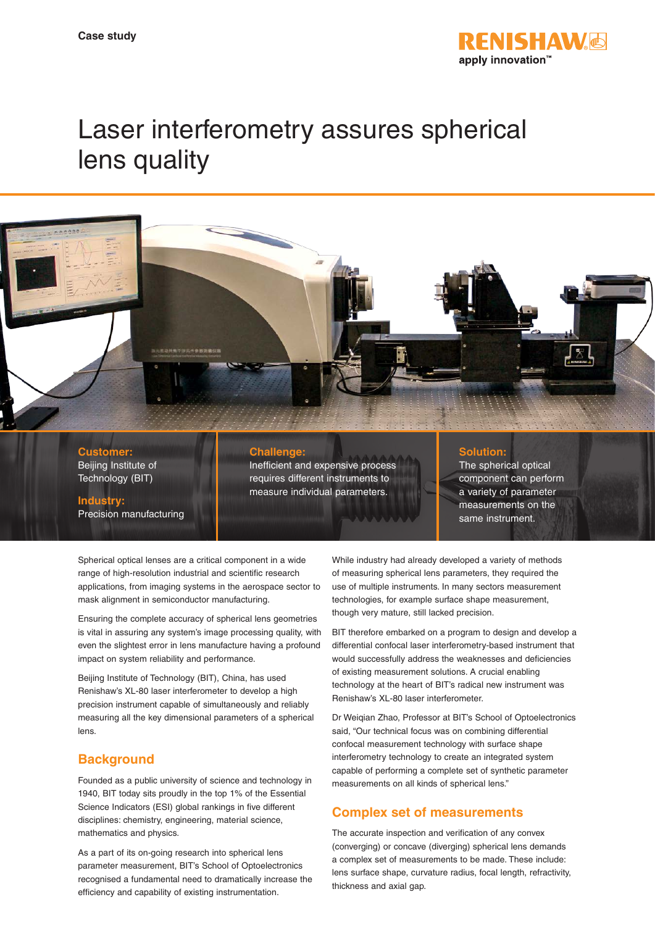

# Laser interferometry assures spherical lens quality



**Customer:** Beijing Institute of Technology (BIT)

#### **Challenge:**

Inefficient and expensive process requires different instruments to measure individual parameters.

#### **Solution:**

The spherical optical component can perform a variety of parameter measurements on the same instrument.

## **Industry:**

Precision manufacturing

Spherical optical lenses are a critical component in a wide range of high-resolution industrial and scientific research applications, from imaging systems in the aerospace sector to mask alignment in semiconductor manufacturing.

Ensuring the complete accuracy of spherical lens geometries is vital in assuring any system's image processing quality, with even the slightest error in lens manufacture having a profound impact on system reliability and performance.

Beijing Institute of Technology (BIT), China, has used [Renishaw's XL-80 laser interferometer](file:) to develop a high precision instrument capable of simultaneously and reliably measuring all the key dimensional parameters of a spherical lens.

## **Background**

Founded as a public university of science and technology in 1940, BIT today sits proudly in the top 1% of the Essential Science Indicators (ESI) global rankings in five different disciplines: chemistry, engineering, material science, mathematics and physics.

As a part of its on-going research into spherical lens parameter measurement, BIT's School of Optoelectronics recognised a fundamental need to dramatically increase the efficiency and capability of existing instrumentation.

While industry had already developed a variety of methods of measuring spherical lens parameters, they required the use of multiple instruments. In many sectors measurement technologies, for example surface shape measurement, though very mature, still lacked precision.

BIT therefore embarked on a program to design and develop a differential confocal laser interferometry-based instrument that would successfully address the weaknesses and deficiencies of existing measurement solutions. A crucial enabling technology at the heart of BIT's radical new instrument was Renishaw's XL-80 laser interferometer.

Dr Weiqian Zhao, Professor at BIT's School of Optoelectronics said, "Our technical focus was on combining differential confocal measurement technology with surface shape interferometry technology to create an integrated system capable of performing a complete set of synthetic parameter measurements on all kinds of spherical lens."

## **Complex set of measurements**

The accurate inspection and verification of any convex (converging) or concave (diverging) spherical lens demands a complex set of measurements to be made. These include: lens surface shape, curvature radius, focal length, refractivity, thickness and axial gap.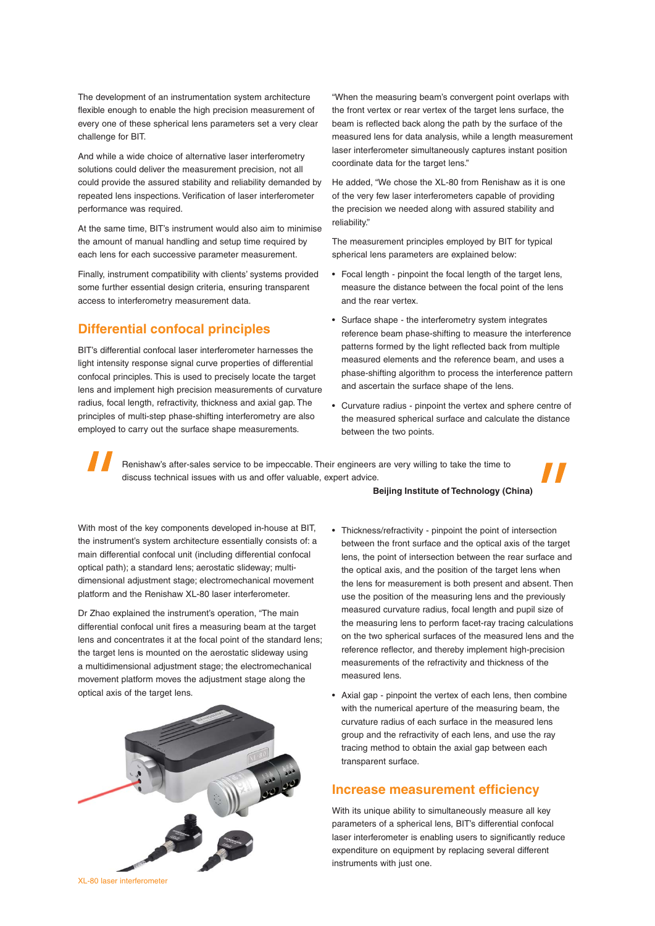The development of an instrumentation system architecture flexible enough to enable the high precision measurement of every one of these spherical lens parameters set a very clear challenge for BIT.

And while a wide choice of alternative laser interferometry solutions could deliver the measurement precision, not all could provide the assured stability and reliability demanded by repeated lens inspections. Verification of laser interferometer performance was required.

At the same time, BIT's instrument would also aim to minimise the amount of manual handling and setup time required by each lens for each successive parameter measurement.

Finally, instrument compatibility with clients' systems provided some further essential design criteria, ensuring transparent access to interferometry measurement data.

## **Differential confocal principles**

BIT's differential confocal laser interferometer harnesses the light intensity response signal curve properties of differential confocal principles. This is used to precisely locate the target lens and implement high precision measurements of curvature radius, focal length, refractivity, thickness and axial gap. The principles of multi-step phase-shifting interferometry are also employed to carry out the surface shape measurements.

"When the measuring beam's convergent point overlaps with the front vertex or rear vertex of the target lens surface, the beam is reflected back along the path by the surface of the measured lens for data analysis, while a length measurement laser interferometer simultaneously captures instant position coordinate data for the target lens."

He added, "We chose the XL-80 from Renishaw as it is one of the very few laser interferometers capable of providing the precision we needed along with assured stability and reliability."

The measurement principles employed by BIT for typical spherical lens parameters are explained below:

- Focal length pinpoint the focal length of the target lens, measure the distance between the focal point of the lens and the rear vertex.
- Surface shape the interferometry system integrates reference beam phase-shifting to measure the interference patterns formed by the light reflected back from multiple measured elements and the reference beam, and uses a phase-shifting algorithm to process the interference pattern and ascertain the surface shape of the lens.
- Curvature radius pinpoint the vertex and sphere centre of the measured spherical surface and calculate the distance between the two points.

Renishaw's after-sales service to be impeccable. Their engineers are very willing to take the time to discuss technical issues with us and offer valuable, expert advice.

#### **Beijing Institute of Technology (China)**

With most of the key components developed in-house at BIT, the instrument's system architecture essentially consists of: a main differential confocal unit (including differential confocal optical path); a standard lens; aerostatic slideway; multidimensional adjustment stage; electromechanical movement platform and the Renishaw XL-80 laser interferometer.

Dr Zhao explained the instrument's operation, "The main differential confocal unit fires a measuring beam at the target lens and concentrates it at the focal point of the standard lens; the target lens is mounted on the aerostatic slideway using a multidimensional adjustment stage; the electromechanical movement platform moves the adjustment stage along the optical axis of the target lens.



• Thickness/refractivity - pinpoint the point of intersection between the front surface and the optical axis of the target lens, the point of intersection between the rear surface and the optical axis, and the position of the target lens when the lens for measurement is both present and absent. Then use the position of the measuring lens and the previously measured curvature radius, focal length and pupil size of the measuring lens to perform facet-ray tracing calculations on the two spherical surfaces of the measured lens and the reference reflector, and thereby implement high-precision measurements of the refractivity and thickness of the measured lens.

• Axial gap - pinpoint the vertex of each lens, then combine with the numerical aperture of the measuring beam, the curvature radius of each surface in the measured lens group and the refractivity of each lens, and use the ray tracing method to obtain the axial gap between each transparent surface.

## **Increase measurement efficiency**

With its unique ability to simultaneously measure all key parameters of a spherical lens, BIT's differential confocal laser interferometer is enabling users to significantly reduce expenditure on equipment by replacing several different instruments with just one.

XL-80 laser interferometer